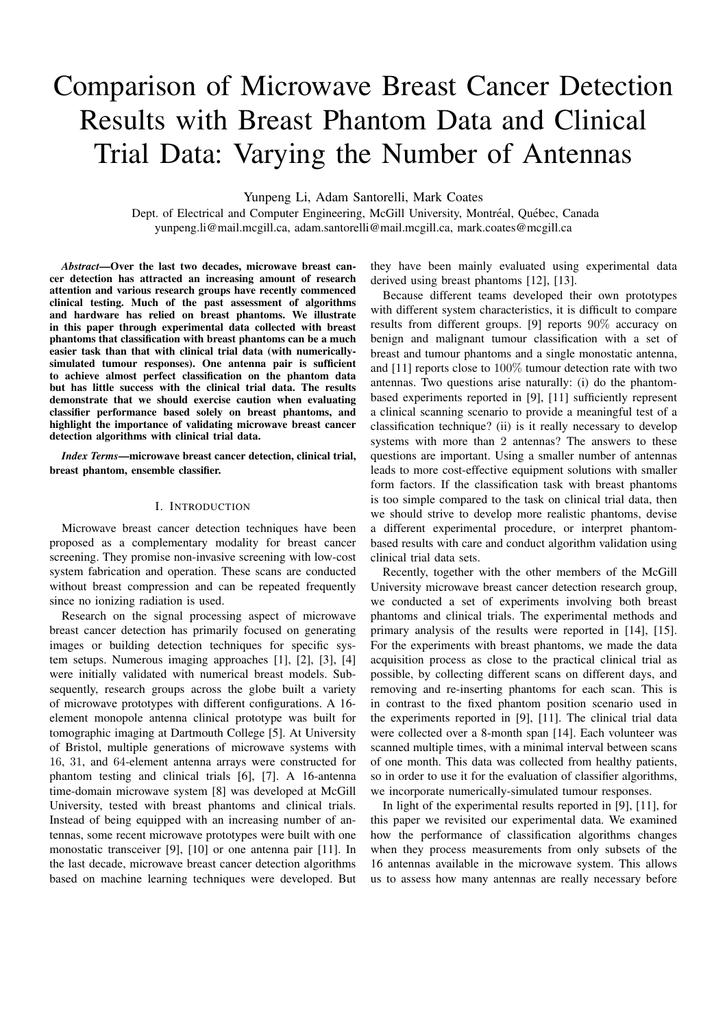# Comparison of Microwave Breast Cancer Detection Results with Breast Phantom Data and Clinical Trial Data: Varying the Number of Antennas

Yunpeng Li, Adam Santorelli, Mark Coates

Dept. of Electrical and Computer Engineering, McGill University, Montréal, Québec, Canada yunpeng.li@mail.mcgill.ca, adam.santorelli@mail.mcgill.ca, mark.coates@mcgill.ca

*Abstract*—Over the last two decades, microwave breast cancer detection has attracted an increasing amount of research attention and various research groups have recently commenced clinical testing. Much of the past assessment of algorithms and hardware has relied on breast phantoms. We illustrate in this paper through experimental data collected with breast phantoms that classification with breast phantoms can be a much easier task than that with clinical trial data (with numericallysimulated tumour responses). One antenna pair is sufficient to achieve almost perfect classification on the phantom data but has little success with the clinical trial data. The results demonstrate that we should exercise caution when evaluating classifier performance based solely on breast phantoms, and highlight the importance of validating microwave breast cancer detection algorithms with clinical trial data.

*Index Terms*—microwave breast cancer detection, clinical trial, breast phantom, ensemble classifier.

# I. INTRODUCTION

Microwave breast cancer detection techniques have been proposed as a complementary modality for breast cancer screening. They promise non-invasive screening with low-cost system fabrication and operation. These scans are conducted without breast compression and can be repeated frequently since no ionizing radiation is used.

Research on the signal processing aspect of microwave breast cancer detection has primarily focused on generating images or building detection techniques for specific system setups. Numerous imaging approaches [1], [2], [3], [4] were initially validated with numerical breast models. Subsequently, research groups across the globe built a variety of microwave prototypes with different configurations. A 16 element monopole antenna clinical prototype was built for tomographic imaging at Dartmouth College [5]. At University of Bristol, multiple generations of microwave systems with 16, 31, and 64-element antenna arrays were constructed for phantom testing and clinical trials [6], [7]. A 16-antenna time-domain microwave system [8] was developed at McGill University, tested with breast phantoms and clinical trials. Instead of being equipped with an increasing number of antennas, some recent microwave prototypes were built with one monostatic transceiver [9], [10] or one antenna pair [11]. In the last decade, microwave breast cancer detection algorithms based on machine learning techniques were developed. But

they have been mainly evaluated using experimental data derived using breast phantoms [12], [13].

Because different teams developed their own prototypes with different system characteristics, it is difficult to compare results from different groups. [9] reports 90% accuracy on benign and malignant tumour classification with a set of breast and tumour phantoms and a single monostatic antenna, and [11] reports close to 100% tumour detection rate with two antennas. Two questions arise naturally: (i) do the phantombased experiments reported in [9], [11] sufficiently represent a clinical scanning scenario to provide a meaningful test of a classification technique? (ii) is it really necessary to develop systems with more than 2 antennas? The answers to these questions are important. Using a smaller number of antennas leads to more cost-effective equipment solutions with smaller form factors. If the classification task with breast phantoms is too simple compared to the task on clinical trial data, then we should strive to develop more realistic phantoms, devise a different experimental procedure, or interpret phantombased results with care and conduct algorithm validation using clinical trial data sets.

Recently, together with the other members of the McGill University microwave breast cancer detection research group, we conducted a set of experiments involving both breast phantoms and clinical trials. The experimental methods and primary analysis of the results were reported in [14], [15]. For the experiments with breast phantoms, we made the data acquisition process as close to the practical clinical trial as possible, by collecting different scans on different days, and removing and re-inserting phantoms for each scan. This is in contrast to the fixed phantom position scenario used in the experiments reported in [9], [11]. The clinical trial data were collected over a 8-month span [14]. Each volunteer was scanned multiple times, with a minimal interval between scans of one month. This data was collected from healthy patients, so in order to use it for the evaluation of classifier algorithms, we incorporate numerically-simulated tumour responses.

In light of the experimental results reported in [9], [11], for this paper we revisited our experimental data. We examined how the performance of classification algorithms changes when they process measurements from only subsets of the 16 antennas available in the microwave system. This allows us to assess how many antennas are really necessary before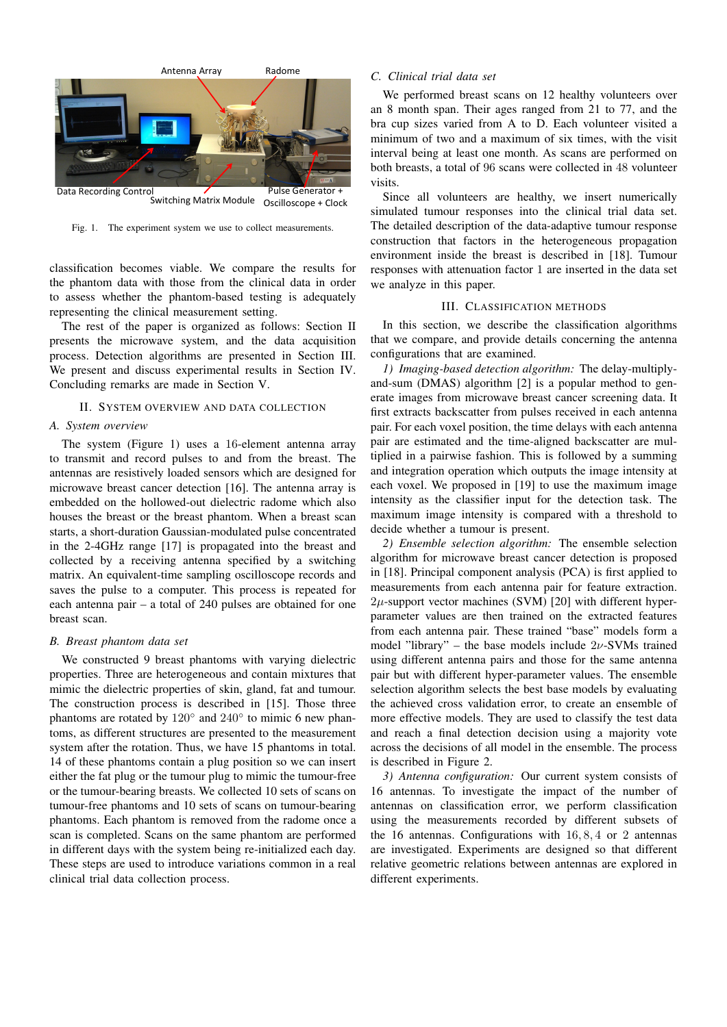

Fig. 1. The experiment system we use to collect measurements.

classification becomes viable. We compare the results for the phantom data with those from the clinical data in order to assess whether the phantom-based testing is adequately representing the clinical measurement setting.

The rest of the paper is organized as follows: Section II presents the microwave system, and the data acquisition process. Detection algorithms are presented in Section III. We present and discuss experimental results in Section IV. Concluding remarks are made in Section V.

## II. SYSTEM OVERVIEW AND DATA COLLECTION

# *A. System overview*

The system (Figure 1) uses a 16-element antenna array to transmit and record pulses to and from the breast. The antennas are resistively loaded sensors which are designed for microwave breast cancer detection [16]. The antenna array is embedded on the hollowed-out dielectric radome which also houses the breast or the breast phantom. When a breast scan starts, a short-duration Gaussian-modulated pulse concentrated in the 2-4GHz range [17] is propagated into the breast and collected by a receiving antenna specified by a switching matrix. An equivalent-time sampling oscilloscope records and saves the pulse to a computer. This process is repeated for each antenna pair – a total of 240 pulses are obtained for one breast scan.

### *B. Breast phantom data set*

We constructed 9 breast phantoms with varying dielectric properties. Three are heterogeneous and contain mixtures that mimic the dielectric properties of skin, gland, fat and tumour. The construction process is described in [15]. Those three phantoms are rotated by 120° and 240° to mimic 6 new phantoms, as different structures are presented to the measurement system after the rotation. Thus, we have 15 phantoms in total. 14 of these phantoms contain a plug position so we can insert either the fat plug or the tumour plug to mimic the tumour-free or the tumour-bearing breasts. We collected 10 sets of scans on tumour-free phantoms and 10 sets of scans on tumour-bearing phantoms. Each phantom is removed from the radome once a scan is completed. Scans on the same phantom are performed in different days with the system being re-initialized each day. These steps are used to introduce variations common in a real clinical trial data collection process.

# *C. Clinical trial data set*

We performed breast scans on 12 healthy volunteers over an 8 month span. Their ages ranged from 21 to 77, and the bra cup sizes varied from A to D. Each volunteer visited a minimum of two and a maximum of six times, with the visit interval being at least one month. As scans are performed on both breasts, a total of 96 scans were collected in 48 volunteer visits.

Since all volunteers are healthy, we insert numerically simulated tumour responses into the clinical trial data set. The detailed description of the data-adaptive tumour response construction that factors in the heterogeneous propagation environment inside the breast is described in [18]. Tumour responses with attenuation factor 1 are inserted in the data set we analyze in this paper.

#### III. CLASSIFICATION METHODS

In this section, we describe the classification algorithms that we compare, and provide details concerning the antenna configurations that are examined.

*1) Imaging-based detection algorithm:* The delay-multiplyand-sum (DMAS) algorithm [2] is a popular method to generate images from microwave breast cancer screening data. It first extracts backscatter from pulses received in each antenna pair. For each voxel position, the time delays with each antenna pair are estimated and the time-aligned backscatter are multiplied in a pairwise fashion. This is followed by a summing and integration operation which outputs the image intensity at each voxel. We proposed in [19] to use the maximum image intensity as the classifier input for the detection task. The maximum image intensity is compared with a threshold to decide whether a tumour is present.

*2) Ensemble selection algorithm:* The ensemble selection algorithm for microwave breast cancer detection is proposed in [18]. Principal component analysis (PCA) is first applied to measurements from each antenna pair for feature extraction.  $2\mu$ -support vector machines (SVM) [20] with different hyperparameter values are then trained on the extracted features from each antenna pair. These trained "base" models form a model "library" – the base models include  $2\nu$ -SVMs trained using different antenna pairs and those for the same antenna pair but with different hyper-parameter values. The ensemble selection algorithm selects the best base models by evaluating the achieved cross validation error, to create an ensemble of more effective models. They are used to classify the test data and reach a final detection decision using a majority vote across the decisions of all model in the ensemble. The process is described in Figure 2.

*3) Antenna configuration:* Our current system consists of 16 antennas. To investigate the impact of the number of antennas on classification error, we perform classification using the measurements recorded by different subsets of the 16 antennas. Configurations with 16, 8, 4 or 2 antennas are investigated. Experiments are designed so that different relative geometric relations between antennas are explored in different experiments.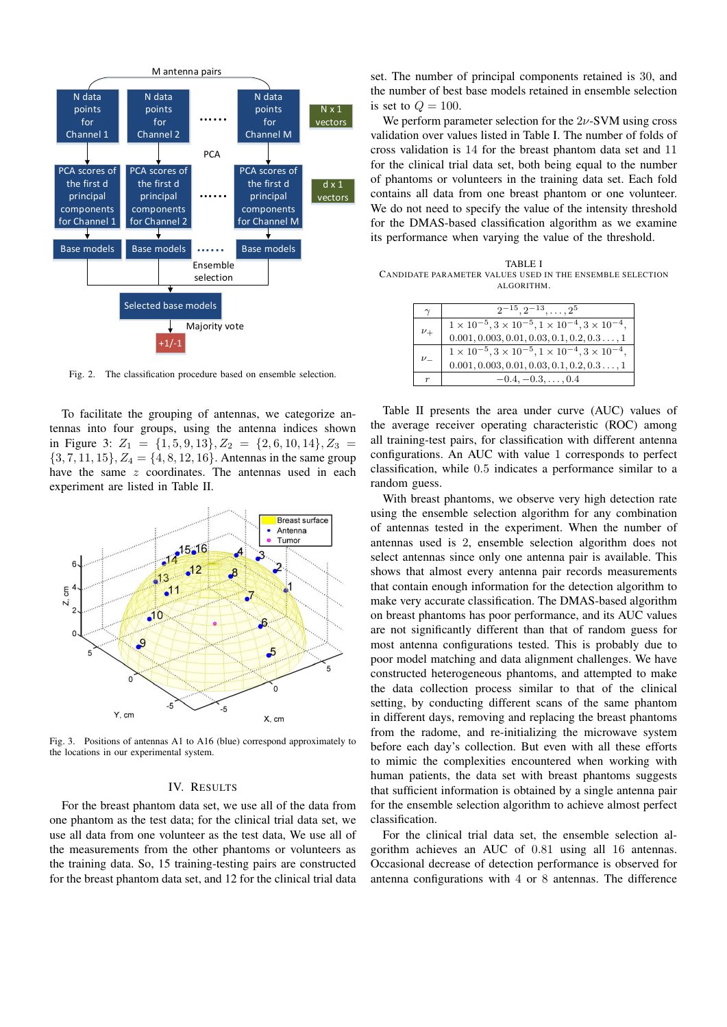

Fig. 2. The classification procedure based on ensemble selection.

To facilitate the grouping of antennas, we categorize antennas into four groups, using the antenna indices shown in Figure 3:  $Z_1 = \{1, 5, 9, 13\}, Z_2 = \{2, 6, 10, 14\}, Z_3 =$  $\{3, 7, 11, 15\}, Z_4 = \{4, 8, 12, 16\}.$  Antennas in the same group have the same z coordinates. The antennas used in each experiment are listed in Table II.



Fig. 3. Positions of antennas A1 to A16 (blue) correspond approximately to the locations in our experimental system.

# IV. RESULTS

For the breast phantom data set, we use all of the data from one phantom as the test data; for the clinical trial data set, we use all data from one volunteer as the test data, We use all of the measurements from the other phantoms or volunteers as the training data. So, 15 training-testing pairs are constructed for the breast phantom data set, and 12 for the clinical trial data set. The number of principal components retained is 30, and the number of best base models retained in ensemble selection is set to  $Q = 100$ .

We perform parameter selection for the  $2\nu$ -SVM using cross validation over values listed in Table I. The number of folds of cross validation is 14 for the breast phantom data set and 11 for the clinical trial data set, both being equal to the number of phantoms or volunteers in the training data set. Each fold contains all data from one breast phantom or one volunteer. We do not need to specify the value of the intensity threshold for the DMAS-based classification algorithm as we examine its performance when varying the value of the threshold.

TABLE I CANDIDATE PARAMETER VALUES USED IN THE ENSEMBLE SELECTION ALGORITHM.

| $\sim$             | $2^{-15}$ , $2^{-13}$ , , $2^5$                                                     |
|--------------------|-------------------------------------------------------------------------------------|
| $\nu_{+}$          | $1 \times 10^{-5}$ , $3 \times 10^{-5}$ , $1 \times 10^{-4}$ , $3 \times 10^{-4}$ , |
|                    | $0.001, 0.003, 0.01, 0.03, 0.1, 0.2, 0.3 \ldots, 1$                                 |
| $\nu$ <sub>-</sub> | $1 \times 10^{-5}$ , $3 \times 10^{-5}$ , $1 \times 10^{-4}$ , $3 \times 10^{-4}$ , |
|                    | $0.001, 0.003, 0.01, 0.03, 0.1, 0.2, 0.3 \ldots, 1$                                 |
| $\boldsymbol{r}$   | $-0.4, -0.3, \ldots, 0.4$                                                           |

Table II presents the area under curve (AUC) values of the average receiver operating characteristic (ROC) among all training-test pairs, for classification with different antenna configurations. An AUC with value 1 corresponds to perfect classification, while 0.5 indicates a performance similar to a random guess.

With breast phantoms, we observe very high detection rate using the ensemble selection algorithm for any combination of antennas tested in the experiment. When the number of antennas used is 2, ensemble selection algorithm does not select antennas since only one antenna pair is available. This shows that almost every antenna pair records measurements that contain enough information for the detection algorithm to make very accurate classification. The DMAS-based algorithm on breast phantoms has poor performance, and its AUC values are not significantly different than that of random guess for most antenna configurations tested. This is probably due to poor model matching and data alignment challenges. We have constructed heterogeneous phantoms, and attempted to make the data collection process similar to that of the clinical setting, by conducting different scans of the same phantom in different days, removing and replacing the breast phantoms from the radome, and re-initializing the microwave system before each day's collection. But even with all these efforts to mimic the complexities encountered when working with human patients, the data set with breast phantoms suggests that sufficient information is obtained by a single antenna pair for the ensemble selection algorithm to achieve almost perfect classification.

For the clinical trial data set, the ensemble selection algorithm achieves an AUC of 0.81 using all 16 antennas. Occasional decrease of detection performance is observed for antenna configurations with 4 or 8 antennas. The difference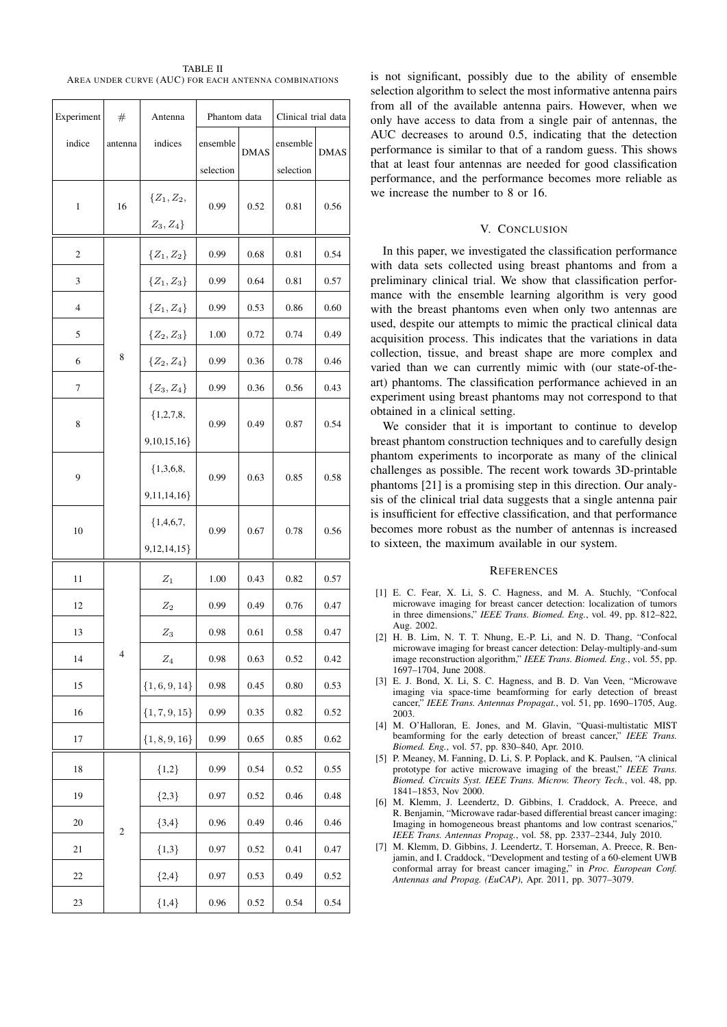TABLE II AREA UNDER CURVE (AUC) FOR EACH ANTENNA COMBINATIONS

| Experiment     | #                       | Antenna         | Phantom data |             | Clinical trial data |             |
|----------------|-------------------------|-----------------|--------------|-------------|---------------------|-------------|
| indice         | antenna                 | indices         | ensemble     | <b>DMAS</b> | ensemble            | <b>DMAS</b> |
|                |                         |                 | selection    |             | selection           |             |
| $\mathbf{1}$   | 16                      | $\{Z_1, Z_2,$   | 0.99         | 0.52        | 0.81                | 0.56        |
|                |                         | $Z_3, Z_4\}$    |              |             |                     |             |
| $\mathfrak{2}$ |                         | ${Z_1, Z_2}$    | 0.99         | 0.68        | 0.81                | 0.54        |
| 3              |                         | $\{Z_1, Z_3\}$  | 0.99         | 0.64        | 0.81                | 0.57        |
| $\overline{4}$ |                         | $\{Z_1, Z_4\}$  | 0.99         | 0.53        | 0.86                | 0.60        |
| 5              |                         | $\{Z_2, Z_3\}$  | 1.00         | 0.72        | 0.74                | 0.49        |
| 6              | 8                       | $\{Z_2, Z_4\}$  | 0.99         | 0.36        | 0.78                | 0.46        |
| 7              |                         | $\{Z_3, Z_4\}$  | 0.99         | 0.36        | 0.56                | 0.43        |
| 8              |                         | ${1,2,7,8,$     | 0.99         | 0.49        | 0.87                | 0.54        |
|                |                         | 9,10,15,16}     |              |             |                     |             |
| 9              |                         | ${1,3,6,8,$     | 0.99         | 0.63        | 0.85                | 0.58        |
|                |                         | 9,11,14,16}     |              |             |                     |             |
| 10             |                         | ${1,4,6,7,$     | 0.99         | 0.67        | 0.78                | 0.56        |
|                |                         | 9, 12, 14, 15}  |              |             |                     |             |
| 11             |                         | $\mathbb{Z}_1$  | 1.00         | 0.43        | 0.82                | 0.57        |
| 12             |                         | $\mathbb{Z}_2$  | 0.99         | 0.49        | 0.76                | 0.47        |
| 13             |                         | $Z_3$           | 0.98         | 0.61        | 0.58                | 0.47        |
| 14             | $\overline{\mathbf{4}}$ | $\mathbb{Z}_4$  | 0.98         | 0.63        | 0.52                | 0.42        |
| 15             |                         | $\{1,6,9,14\}$  | 0.98         | 0.45        | 0.80                | 0.53        |
| 16             |                         | ${1, 7, 9, 15}$ | 0.99         | 0.35        | 0.82                | 0.52        |
| 17             |                         | ${1, 8, 9, 16}$ | 0.99         | 0.65        | 0.85                | 0.62        |
| 18             |                         | ${1,2}$         | 0.99         | 0.54        | 0.52                | 0.55        |
| 19             |                         | ${2,3}$         | 0.97         | 0.52        | 0.46                | 0.48        |
| 20             |                         | ${3,4}$         | 0.96         | 0.49        | 0.46                | 0.46        |
| 21             | $\overline{\mathbf{c}}$ | ${1,3}$         | 0.97         | 0.52        | 0.41                | 0.47        |
| 22             |                         | ${2,4}$         | 0.97         | 0.53        | 0.49                | 0.52        |
| 23             |                         | ${1,4}$         | 0.96         | 0.52        | 0.54                | 0.54        |

is not significant, possibly due to the ability of ensemble selection algorithm to select the most informative antenna pairs from all of the available antenna pairs. However, when we only have access to data from a single pair of antennas, the AUC decreases to around 0.5, indicating that the detection performance is similar to that of a random guess. This shows that at least four antennas are needed for good classification performance, and the performance becomes more reliable as we increase the number to 8 or 16.

# V. CONCLUSION

In this paper, we investigated the classification performance with data sets collected using breast phantoms and from a preliminary clinical trial. We show that classification performance with the ensemble learning algorithm is very good with the breast phantoms even when only two antennas are used, despite our attempts to mimic the practical clinical data acquisition process. This indicates that the variations in data collection, tissue, and breast shape are more complex and varied than we can currently mimic with (our state-of-theart) phantoms. The classification performance achieved in an experiment using breast phantoms may not correspond to that obtained in a clinical setting.

We consider that it is important to continue to develop breast phantom construction techniques and to carefully design phantom experiments to incorporate as many of the clinical challenges as possible. The recent work towards 3D-printable phantoms [21] is a promising step in this direction. Our analysis of the clinical trial data suggests that a single antenna pair is insufficient for effective classification, and that performance becomes more robust as the number of antennas is increased to sixteen, the maximum available in our system.

## **REFERENCES**

- [1] E. C. Fear, X. Li, S. C. Hagness, and M. A. Stuchly, "Confocal microwave imaging for breast cancer detection: localization of tumors in three dimensions," *IEEE Trans. Biomed. Eng.*, vol. 49, pp. 812–822, Aug. 2002.
- [2] H. B. Lim, N. T. T. Nhung, E.-P. Li, and N. D. Thang, "Confocal microwave imaging for breast cancer detection: Delay-multiply-and-sum image reconstruction algorithm," *IEEE Trans. Biomed. Eng.*, vol. 55, pp. 1697–1704, June 2008.
- [3] E. J. Bond, X. Li, S. C. Hagness, and B. D. Van Veen, "Microwave imaging via space-time beamforming for early detection of breast cancer," *IEEE Trans. Antennas Propagat.*, vol. 51, pp. 1690–1705, Aug. 2003.
- [4] M. O'Halloran, E. Jones, and M. Glavin, "Quasi-multistatic MIST beamforming for the early detection of breast cancer," *IEEE Trans. Biomed. Eng.*, vol. 57, pp. 830–840, Apr. 2010.
- [5] P. Meaney, M. Fanning, D. Li, S. P. Poplack, and K. Paulsen, "A clinical prototype for active microwave imaging of the breast," *IEEE Trans. Biomed. Circuits Syst. IEEE Trans. Microw. Theory Tech.*, vol. 48, pp. 1841–1853, Nov 2000.
- [6] M. Klemm, J. Leendertz, D. Gibbins, I. Craddock, A. Preece, and R. Benjamin, "Microwave radar-based differential breast cancer imaging: Imaging in homogeneous breast phantoms and low contrast scenarios, *IEEE Trans. Antennas Propag.*, vol. 58, pp. 2337–2344, July 2010.
- [7] M. Klemm, D. Gibbins, J. Leendertz, T. Horseman, A. Preece, R. Benjamin, and I. Craddock, "Development and testing of a 60-element UWB conformal array for breast cancer imaging," in *Proc. European Conf. Antennas and Propag. (EuCAP)*, Apr. 2011, pp. 3077–3079.